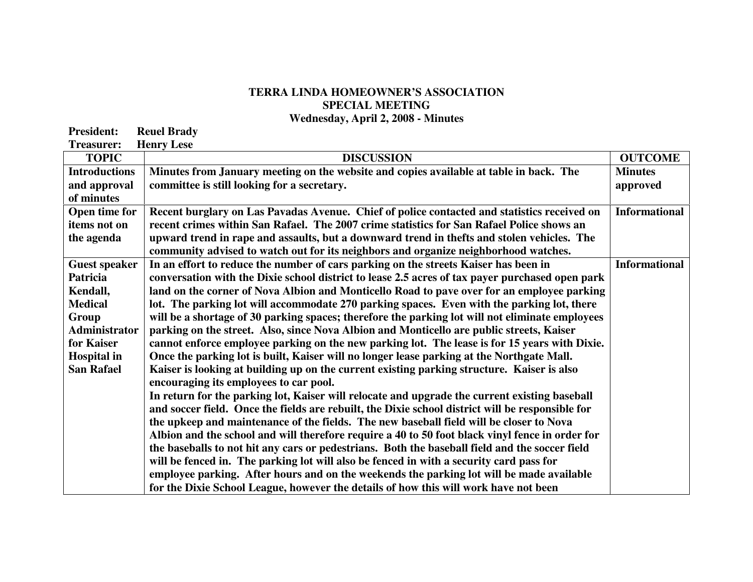## **TERRA LINDA HOMEOWNER'S ASSOCIATION SPECIAL MEETING**

**Wednesday, April 2, 2008 - Minutes** 

| <b>President:</b>                                              | <b>Reuel Brady</b>                                                                                                                                                                                 |
|----------------------------------------------------------------|----------------------------------------------------------------------------------------------------------------------------------------------------------------------------------------------------|
| <b>Treasurer:</b>                                              | <b>Henry Lese</b>                                                                                                                                                                                  |
| <b>TOPIC</b>                                                   | <b>DISC</b>                                                                                                                                                                                        |
| <b>Introductions</b><br>and approval<br>of minutes             | Minutes from January meeting on the websit<br>committee is still looking for a secretary.                                                                                                          |
| Open time for<br>items not on<br>the agenda                    | <b>Recent burglary on Las Pavadas Avenue. Cl</b><br>recent crimes within San Rafael. The 2007 com-<br>upward trend in rape and assaults, but a dow<br>community advised to watch out for its neigh |
| <b>Guest speaker</b><br>Patricia<br>Kendall,<br><b>Medical</b> | In an effort to reduce the number of cars par<br>conversation with the Dixie school district to<br>land on the corner of Nova Albion and Monti<br>lot. The parking lot will accommodate 270 p.     |

| <b>TOPIC</b>         | <b>DISCUSSION</b>                                                                                | <b>OUTCOME</b>       |
|----------------------|--------------------------------------------------------------------------------------------------|----------------------|
| <b>Introductions</b> | Minutes from January meeting on the website and copies available at table in back. The           | <b>Minutes</b>       |
| and approval         | committee is still looking for a secretary.                                                      | approved             |
| of minutes           |                                                                                                  |                      |
| Open time for        | Recent burglary on Las Pavadas Avenue. Chief of police contacted and statistics received on      | <b>Informational</b> |
| items not on         | recent crimes within San Rafael. The 2007 crime statistics for San Rafael Police shows an        |                      |
| the agenda           | upward trend in rape and assaults, but a downward trend in thefts and stolen vehicles. The       |                      |
|                      | community advised to watch out for its neighbors and organize neighborhood watches.              |                      |
| <b>Guest speaker</b> | In an effort to reduce the number of cars parking on the streets Kaiser has been in              | <b>Informational</b> |
| Patricia             | conversation with the Dixie school district to lease 2.5 acres of tax payer purchased open park  |                      |
| Kendall,             | land on the corner of Nova Albion and Monticello Road to pave over for an employee parking       |                      |
| <b>Medical</b>       | lot. The parking lot will accommodate 270 parking spaces. Even with the parking lot, there       |                      |
| Group                | will be a shortage of 30 parking spaces; therefore the parking lot will not eliminate employees  |                      |
| <b>Administrator</b> | parking on the street. Also, since Nova Albion and Monticello are public streets, Kaiser         |                      |
| for Kaiser           | cannot enforce employee parking on the new parking lot. The lease is for 15 years with Dixie.    |                      |
| <b>Hospital in</b>   | Once the parking lot is built, Kaiser will no longer lease parking at the Northgate Mall.        |                      |
| <b>San Rafael</b>    | Kaiser is looking at building up on the current existing parking structure. Kaiser is also       |                      |
|                      | encouraging its employees to car pool.                                                           |                      |
|                      | In return for the parking lot, Kaiser will relocate and upgrade the current existing baseball    |                      |
|                      | and soccer field. Once the fields are rebuilt, the Dixie school district will be responsible for |                      |
|                      | the upkeep and maintenance of the fields. The new baseball field will be closer to Nova          |                      |
|                      | Albion and the school and will therefore require a 40 to 50 foot black vinyl fence in order for  |                      |
|                      | the baseballs to not hit any cars or pedestrians. Both the baseball field and the soccer field   |                      |
|                      | will be fenced in. The parking lot will also be fenced in with a security card pass for          |                      |
|                      | employee parking. After hours and on the weekends the parking lot will be made available         |                      |
|                      | for the Dixie School League, however the details of how this will work have not been             |                      |